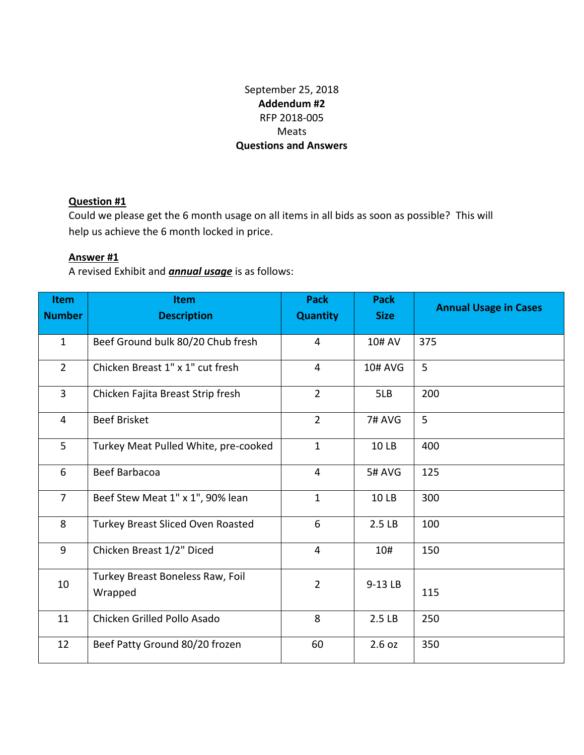# September 25, 2018 **Addendum #2** RFP 2018-005 Meats **Questions and Answers**

## **Question #1**

Could we please get the 6 month usage on all items in all bids as soon as possible? This will help us achieve the 6 month locked in price.

#### **Answer #1**

A revised Exhibit and *annual usage* is as follows:

| <b>Item</b><br><b>Number</b> | <b>Item</b><br><b>Description</b>           | <b>Pack</b><br><b>Quantity</b> | <b>Pack</b><br><b>Size</b> | <b>Annual Usage in Cases</b> |
|------------------------------|---------------------------------------------|--------------------------------|----------------------------|------------------------------|
| $\mathbf{1}$                 | Beef Ground bulk 80/20 Chub fresh           | 4                              | 10# AV                     | 375                          |
| $\overline{2}$               | Chicken Breast 1" x 1" cut fresh            | $\overline{4}$                 | <b>10# AVG</b>             | 5                            |
| $\mathbf{3}$                 | Chicken Fajita Breast Strip fresh           | $\overline{2}$                 | 5LB                        | 200                          |
| $\overline{4}$               | <b>Beef Brisket</b>                         | $\overline{2}$                 | 7# AVG                     | 5                            |
| 5                            | Turkey Meat Pulled White, pre-cooked        | $\mathbf{1}$                   | 10 LB                      | 400                          |
| 6                            | Beef Barbacoa                               | $\overline{4}$                 | <b>5# AVG</b>              | 125                          |
| $\overline{7}$               | Beef Stew Meat 1" x 1", 90% lean            | $\mathbf{1}$                   | 10 LB                      | 300                          |
| 8                            | <b>Turkey Breast Sliced Oven Roasted</b>    | 6                              | 2.5 LB                     | 100                          |
| 9                            | Chicken Breast 1/2" Diced                   | $\overline{4}$                 | 10#                        | 150                          |
| 10                           | Turkey Breast Boneless Raw, Foil<br>Wrapped | $\overline{2}$                 | 9-13 LB                    | 115                          |
| 11                           | Chicken Grilled Pollo Asado                 | 8                              | 2.5 LB                     | 250                          |
| 12                           | Beef Patty Ground 80/20 frozen              | 60                             | 2.6 oz                     | 350                          |